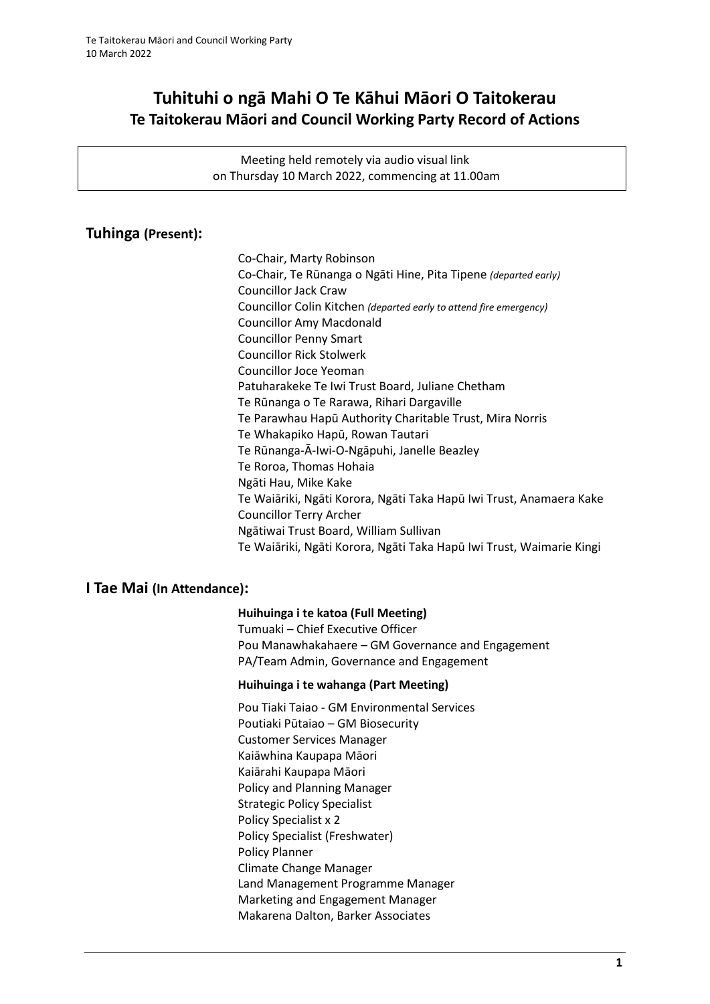# **Tuhituhi o ngā Mahi O Te Kāhui Māori O Taitokerau Te Taitokerau Māori and Council Working Party Record of Actions**

Meeting held remotely via audio visual link on Thursday 10 March 2022, commencing at 11.00am

## **Tuhinga (Present):**

Co-Chair, Marty Robinson Co-Chair, Te Rūnanga o Ngāti Hine, Pita Tipene *(departed early)* Councillor Jack Craw Councillor Colin Kitchen *(departed early to attend fire emergency)* Councillor Amy Macdonald Councillor Penny Smart Councillor Rick Stolwerk Councillor Joce Yeoman Patuharakeke Te Iwi Trust Board, Juliane Chetham Te Rūnanga o Te Rarawa, Rihari Dargaville Te Parawhau Hapū Authority Charitable Trust, Mira Norris Te Whakapiko Hapū, Rowan Tautari Te Rūnanga-Ā-Iwi-O-Ngāpuhi, Janelle Beazley Te Roroa, Thomas Hohaia Ngāti Hau, Mike Kake Te Waiāriki, Ngāti Korora, Ngāti Taka Hapū Iwi Trust, Anamaera Kake Councillor Terry Archer Ngātiwai Trust Board, William Sullivan Te Waiāriki, Ngāti Korora, Ngāti Taka Hapū Iwi Trust, Waimarie Kingi

### **I Tae Mai (In Attendance):**

#### **Huihuinga i te katoa (Full Meeting)**

Tumuaki – Chief Executive Officer Pou Manawhakahaere – GM Governance and Engagement PA/Team Admin, Governance and Engagement

#### **Huihuinga i te wahanga (Part Meeting)**

Pou Tiaki Taiao - GM Environmental Services Poutiaki Pūtaiao – GM Biosecurity Customer Services Manager Kaiāwhina Kaupapa Māori Kaiārahi Kaupapa Māori Policy and Planning Manager Strategic Policy Specialist Policy Specialist x 2 Policy Specialist (Freshwater) Policy Planner Climate Change Manager Land Management Programme Manager Marketing and Engagement Manager Makarena Dalton, Barker Associates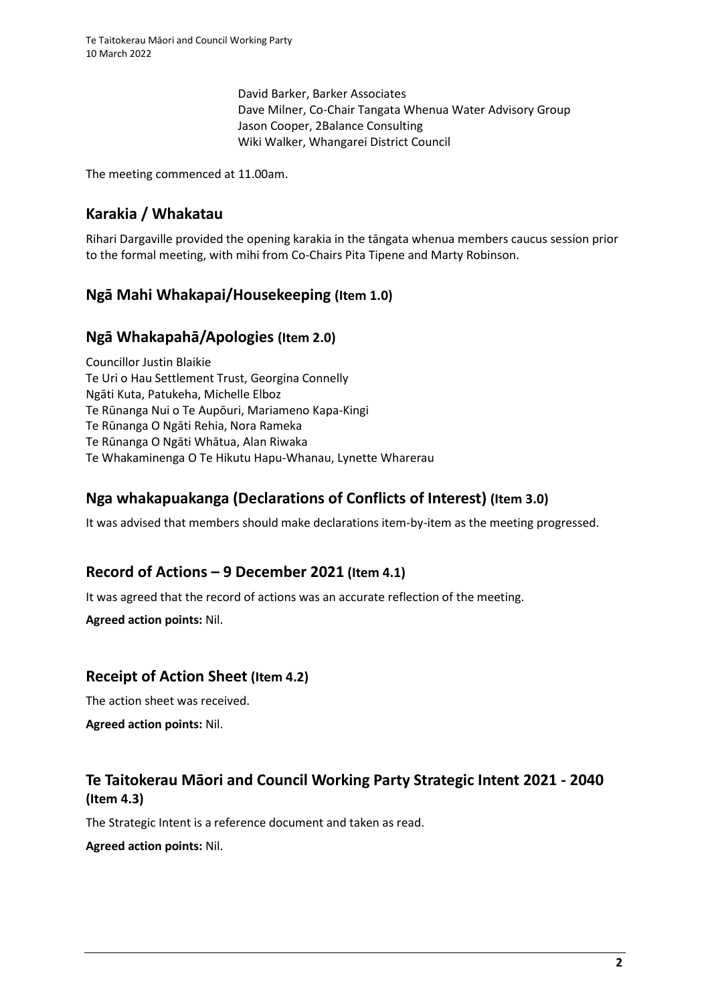David Barker, Barker Associates Dave Milner, Co-Chair Tangata Whenua Water Advisory Group Jason Cooper, 2Balance Consulting Wiki Walker, Whangarei District Council

The meeting commenced at 11.00am.

## **Karakia / Whakatau**

Rihari Dargaville provided the opening karakia in the tāngata whenua members caucus session prior to the formal meeting, with mihi from Co-Chairs Pita Tipene and Marty Robinson.

## **Ngā Mahi Whakapai/Housekeeping (Item 1.0)**

### **Ngā Whakapahā/Apologies (Item 2.0)**

Councillor Justin Blaikie Te Uri o Hau Settlement Trust, Georgina Connelly Ngāti Kuta, Patukeha, Michelle Elboz Te Rūnanga Nui o Te Aupōuri, Mariameno Kapa-Kingi Te Rūnanga O Ngāti Rehia, Nora Rameka Te Rūnanga O Ngāti Whātua, Alan Riwaka Te Whakaminenga O Te Hikutu Hapu-Whanau, Lynette Wharerau

## **Nga whakapuakanga (Declarations of Conflicts of Interest) (Item 3.0)**

It was advised that members should make declarations item-by-item as the meeting progressed.

## **Record of Actions – 9 December 2021 (Item 4.1)**

It was agreed that the record of actions was an accurate reflection of the meeting.

**Agreed action points:** Nil.

### **Receipt of Action Sheet (Item 4.2)**

The action sheet was received.

**Agreed action points:** Nil.

## **Te Taitokerau Māori and Council Working Party Strategic Intent 2021 - 2040 (Item 4.3)**

The Strategic Intent is a reference document and taken as read.

**Agreed action points:** Nil.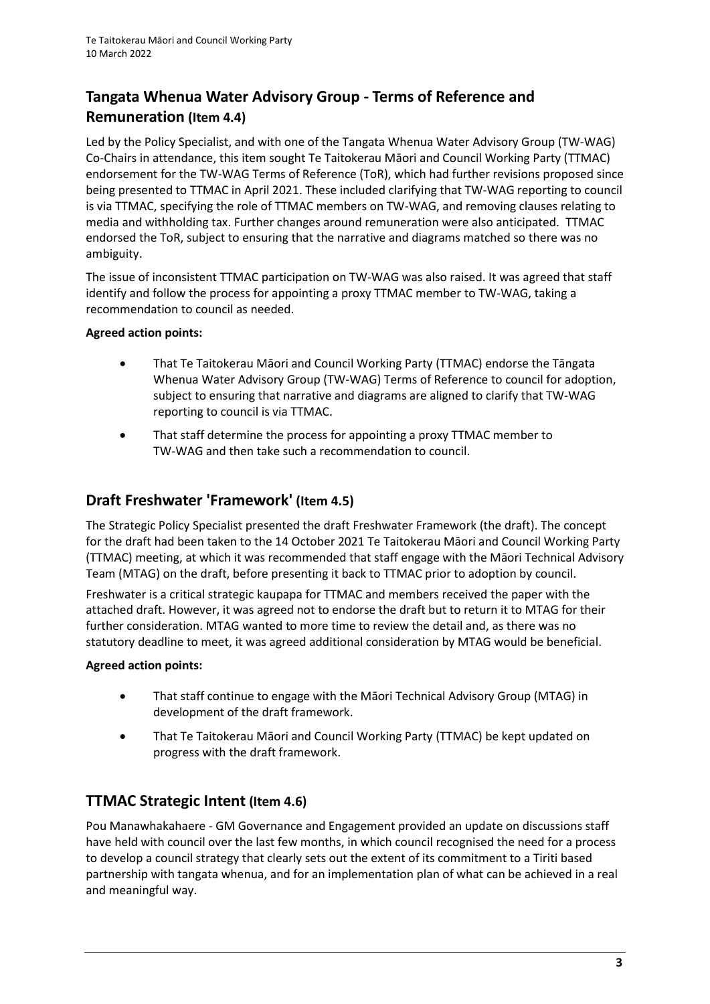# **Tangata Whenua Water Advisory Group - Terms of Reference and Remuneration (Item 4.4)**

Led by the Policy Specialist, and with one of the Tangata Whenua Water Advisory Group (TW-WAG) Co-Chairs in attendance, this item sought Te Taitokerau Māori and Council Working Party (TTMAC) endorsement for the TW-WAG Terms of Reference (ToR), which had further revisions proposed since being presented to TTMAC in April 2021. These included clarifying that TW-WAG reporting to council is via TTMAC, specifying the role of TTMAC members on TW-WAG, and removing clauses relating to media and withholding tax. Further changes around remuneration were also anticipated. TTMAC endorsed the ToR, subject to ensuring that the narrative and diagrams matched so there was no ambiguity.

The issue of inconsistent TTMAC participation on TW-WAG was also raised. It was agreed that staff identify and follow the process for appointing a proxy TTMAC member to TW-WAG, taking a recommendation to council as needed.

### **Agreed action points:**

- That Te Taitokerau Māori and Council Working Party (TTMAC) endorse the Tāngata Whenua Water Advisory Group (TW-WAG) Terms of Reference to council for adoption, subject to ensuring that narrative and diagrams are aligned to clarify that TW-WAG reporting to council is via TTMAC.
- That staff determine the process for appointing a proxy TTMAC member to TW-WAG and then take such a recommendation to council.

## **Draft Freshwater 'Framework' (Item 4.5)**

The Strategic Policy Specialist presented the draft Freshwater Framework (the draft). The concept for the draft had been taken to the 14 October 2021 Te Taitokerau Māori and Council Working Party (TTMAC) meeting, at which it was recommended that staff engage with the Māori Technical Advisory Team (MTAG) on the draft, before presenting it back to TTMAC prior to adoption by council.

Freshwater is a critical strategic kaupapa for TTMAC and members received the paper with the attached draft. However, it was agreed not to endorse the draft but to return it to MTAG for their further consideration. MTAG wanted to more time to review the detail and, as there was no statutory deadline to meet, it was agreed additional consideration by MTAG would be beneficial.

### **Agreed action points:**

- That staff continue to engage with the Māori Technical Advisory Group (MTAG) in development of the draft framework.
- That Te Taitokerau Māori and Council Working Party (TTMAC) be kept updated on progress with the draft framework.

## **TTMAC Strategic Intent (Item 4.6)**

Pou Manawhakahaere - GM Governance and Engagement provided an update on discussions staff have held with council over the last few months, in which council recognised the need for a process to develop a council strategy that clearly sets out the extent of its commitment to a Tiriti based partnership with tangata whenua, and for an implementation plan of what can be achieved in a real and meaningful way.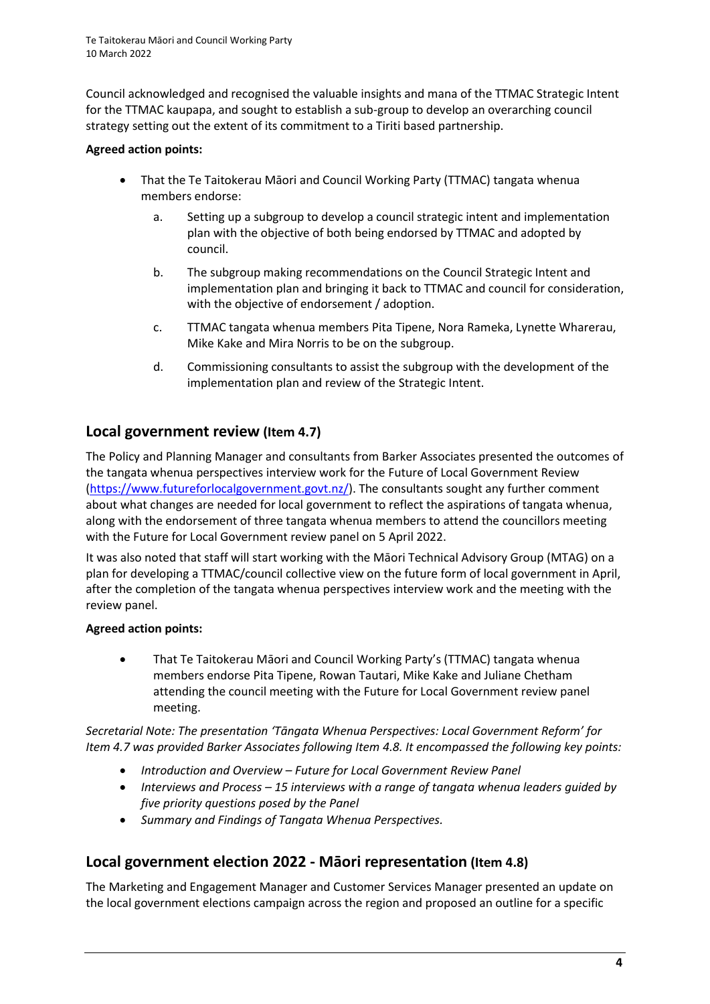Council acknowledged and recognised the valuable insights and mana of the TTMAC Strategic Intent for the TTMAC kaupapa, and sought to establish a sub-group to develop an overarching council strategy setting out the extent of its commitment to a Tiriti based partnership.

#### **Agreed action points:**

- That the Te Taitokerau Māori and Council Working Party (TTMAC) tangata whenua members endorse:
	- a. Setting up a subgroup to develop a council strategic intent and implementation plan with the objective of both being endorsed by TTMAC and adopted by council.
	- b. The subgroup making recommendations on the Council Strategic Intent and implementation plan and bringing it back to TTMAC and council for consideration, with the objective of endorsement / adoption.
	- c. TTMAC tangata whenua members Pita Tipene, Nora Rameka, Lynette Wharerau, Mike Kake and Mira Norris to be on the subgroup.
	- d. Commissioning consultants to assist the subgroup with the development of the implementation plan and review of the Strategic Intent.

## **Local government review (Item 4.7)**

The Policy and Planning Manager and consultants from Barker Associates presented the outcomes of the tangata whenua perspectives interview work for the Future of Local Government Review [\(https://www.futureforlocalgovernment.govt.nz/\)](https://www.futureforlocalgovernment.govt.nz/). The consultants sought any further comment about what changes are needed for local government to reflect the aspirations of tangata whenua, along with the endorsement of three tangata whenua members to attend the councillors meeting with the Future for Local Government review panel on 5 April 2022.

It was also noted that staff will start working with the Māori Technical Advisory Group (MTAG) on a plan for developing a TTMAC/council collective view on the future form of local government in April, after the completion of the tangata whenua perspectives interview work and the meeting with the review panel.

### **Agreed action points:**

• That Te Taitokerau Māori and Council Working Party's (TTMAC) tangata whenua members endorse Pita Tipene, Rowan Tautari, Mike Kake and Juliane Chetham attending the council meeting with the Future for Local Government review panel meeting.

*Secretarial Note: The presentation 'Tāngata Whenua Perspectives: Local Government Reform' for Item 4.7 was provided Barker Associates following Item 4.8. It encompassed the following key points:*

- *Introduction and Overview – Future for Local Government Review Panel*
- *Interviews and Process – 15 interviews with a range of tangata whenua leaders guided by five priority questions posed by the Panel*
- *Summary and Findings of Tangata Whenua Perspectives.*

## **Local government election 2022 - Māori representation (Item 4.8)**

The Marketing and Engagement Manager and Customer Services Manager presented an update on the local government elections campaign across the region and proposed an outline for a specific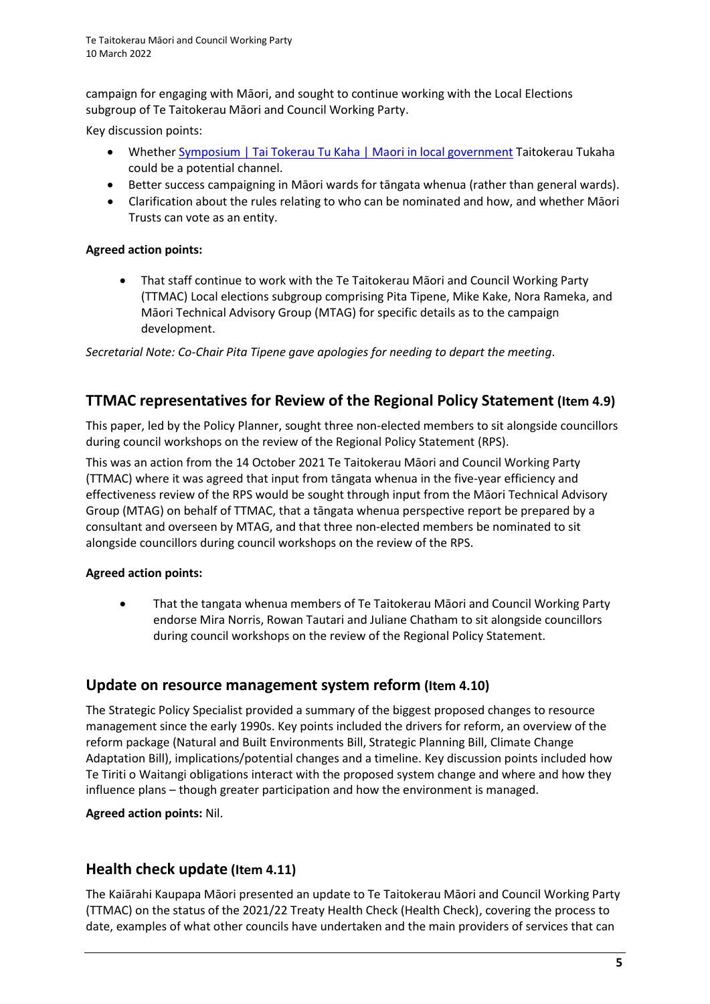campaign for engaging with Māori, and sought to continue working with the Local Elections subgroup of Te Taitokerau Māori and Council Working Party.

Key discussion points:

- Whether [Symposium | Tai Tokerau Tu Kaha | Maori in local government](https://www.taitokerautukaha.nz/symposium) Taitokerau Tukaha could be a potential channel.
- Better success campaigning in Māori wards for tāngata whenua (rather than general wards).
- Clarification about the rules relating to who can be nominated and how, and whether Māori Trusts can vote as an entity.

#### **Agreed action points:**

• That staff continue to work with the Te Taitokerau Māori and Council Working Party (TTMAC) Local elections subgroup comprising Pita Tipene, Mike Kake, Nora Rameka, and Māori Technical Advisory Group (MTAG) for specific details as to the campaign development.

*Secretarial Note: Co-Chair Pita Tipene gave apologies for needing to depart the meeting*.

## **TTMAC representatives for Review of the Regional Policy Statement (Item 4.9)**

This paper, led by the Policy Planner, sought three non-elected members to sit alongside councillors during council workshops on the review of the Regional Policy Statement (RPS).

This was an action from the 14 October 2021 Te Taitokerau Māori and Council Working Party (TTMAC) where it was agreed that input from tāngata whenua in the five-year efficiency and effectiveness review of the RPS would be sought through input from the Māori Technical Advisory Group (MTAG) on behalf of TTMAC, that a tāngata whenua perspective report be prepared by a consultant and overseen by MTAG, and that three non-elected members be nominated to sit alongside councillors during council workshops on the review of the RPS.

### **Agreed action points:**

• That the tangata whenua members of Te Taitokerau Māori and Council Working Party endorse Mira Norris, Rowan Tautari and Juliane Chatham to sit alongside councillors during council workshops on the review of the Regional Policy Statement.

## **Update on resource management system reform (Item 4.10)**

The Strategic Policy Specialist provided a summary of the biggest proposed changes to resource management since the early 1990s. Key points included the drivers for reform, an overview of the reform package (Natural and Built Environments Bill, Strategic Planning Bill, Climate Change Adaptation Bill), implications/potential changes and a timeline. Key discussion points included how Te Tiriti o Waitangi obligations interact with the proposed system change and where and how they influence plans – though greater participation and how the environment is managed.

**Agreed action points:** Nil.

## **Health check update (Item 4.11)**

The Kaiārahi Kaupapa Māori presented an update to Te Taitokerau Māori and Council Working Party (TTMAC) on the status of the 2021/22 Treaty Health Check (Health Check), covering the process to date, examples of what other councils have undertaken and the main providers of services that can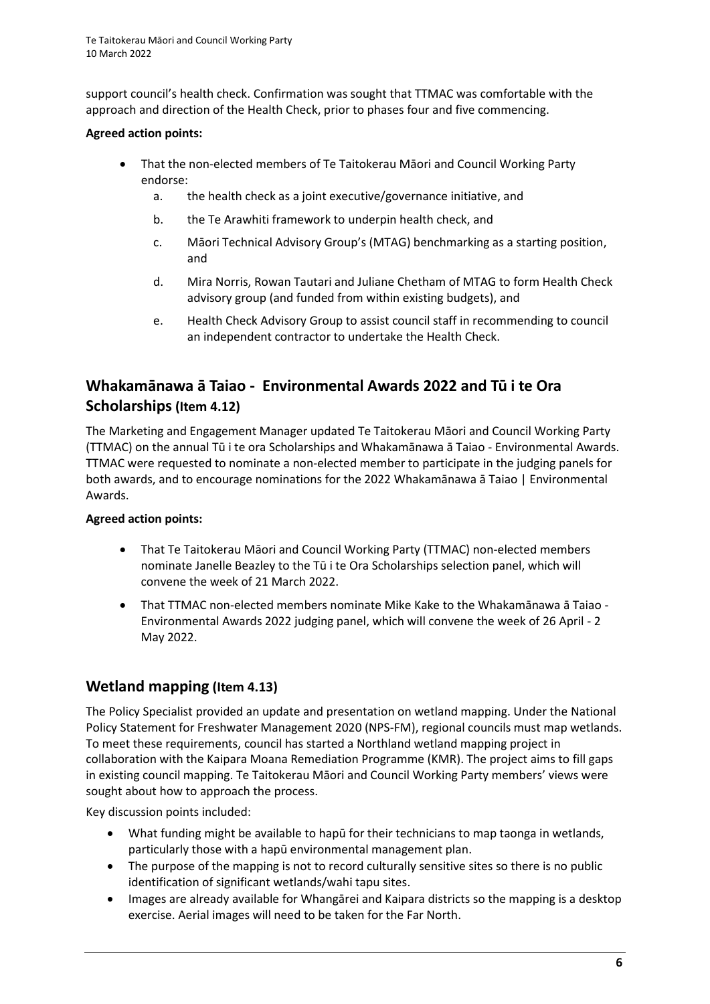support council's health check. Confirmation was sought that TTMAC was comfortable with the approach and direction of the Health Check, prior to phases four and five commencing.

### **Agreed action points:**

- That the non-elected members of Te Taitokerau Māori and Council Working Party endorse:
	- a. the health check as a joint executive/governance initiative, and
	- b. the Te Arawhiti framework to underpin health check, and
	- c. Māori Technical Advisory Group's (MTAG) benchmarking as a starting position, and
	- d. Mira Norris, Rowan Tautari and Juliane Chetham of MTAG to form Health Check advisory group (and funded from within existing budgets), and
	- e. Health Check Advisory Group to assist council staff in recommending to council an independent contractor to undertake the Health Check.

# **Whakamānawa ā Taiao - Environmental Awards 2022 and Tū i te Ora Scholarships (Item 4.12)**

The Marketing and Engagement Manager updated Te Taitokerau Māori and Council Working Party (TTMAC) on the annual Tū i te ora Scholarships and Whakamānawa ā Taiao - Environmental Awards. TTMAC were requested to nominate a non-elected member to participate in the judging panels for both awards, and to encourage nominations for the 2022 Whakamānawa ā Taiao | Environmental Awards.

### **Agreed action points:**

- That Te Taitokerau Māori and Council Working Party (TTMAC) non-elected members nominate Janelle Beazley to the Tū i te Ora Scholarships selection panel, which will convene the week of 21 March 2022.
- That TTMAC non-elected members nominate Mike Kake to the Whakamānawa ā Taiao Environmental Awards 2022 judging panel, which will convene the week of 26 April - 2 May 2022.

## **Wetland mapping (Item 4.13)**

The Policy Specialist provided an update and presentation on wetland mapping. Under the National Policy Statement for Freshwater Management 2020 (NPS-FM), regional councils must map wetlands. To meet these requirements, council has started a Northland wetland mapping project in collaboration with the Kaipara Moana Remediation Programme (KMR). The project aims to fill gaps in existing council mapping. Te Taitokerau Māori and Council Working Party members' views were sought about how to approach the process.

Key discussion points included:

- What funding might be available to hapū for their technicians to map taonga in wetlands, particularly those with a hapū environmental management plan.
- The purpose of the mapping is not to record culturally sensitive sites so there is no public identification of significant wetlands/wahi tapu sites.
- Images are already available for Whangārei and Kaipara districts so the mapping is a desktop exercise. Aerial images will need to be taken for the Far North.